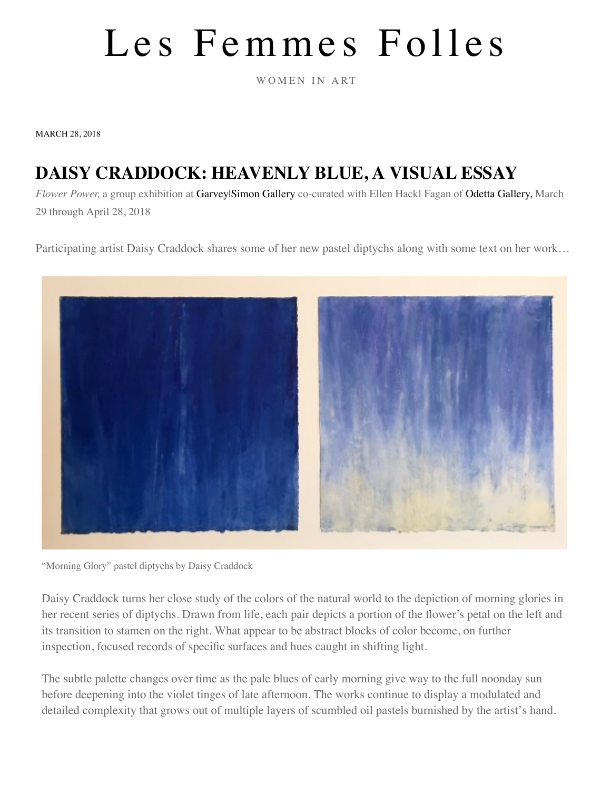## Les Femmes Folles

WOMEN IN ART

MARCH 28, 2018

## **DAISY [CRADDOCK: HEAVENLY BLUE, A VISUAL ESSAY](https://femmesfollesnebraska.tumblr.com/)**

*Flower Power,* a group exhibition at [Garvey|Simon Gallery](https://href.li/?http://www.garveysimon.com/exhibitions/flower-power) co-curated with Ellen Hackl Fagan of [Odetta Gallery,](https://href.li/?http://www.odettagallery.com/) March 29 through April 28, 2018

Participating artist Daisy Craddock shares some of her new pastel diptychs along with some text on her work…



"Morning Glory" pastel diptychs by Daisy Craddock

Daisy Craddock turns her close study of the colors of the natural world to the depiction of morning glories in her recent series of diptychs. Drawn from life, each pair depicts a portion of the flower's petal on the left and its transition to stamen on the right. What appear to be abstract blocks of color become, on further inspection, focused records of specific surfaces and hues caught in shifting light.

The subtle palette changes over time as the pale blues of early morning give way to the full noonday sun before deepening into the violet tinges of late afternoon. The works continue to display a modulated and detailed complexity that grows out of multiple layers of scumbled oil pastels burnished by the artist's hand.